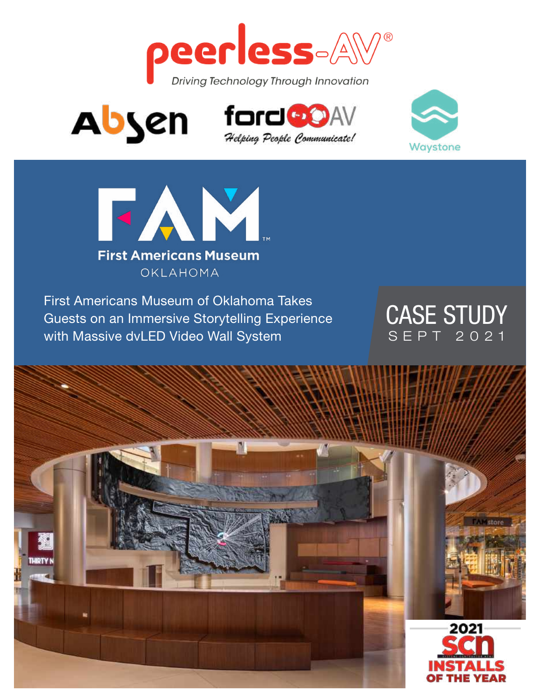







First Americans Museum of Oklahoma Takes Guests on an Immersive Storytelling Experience with Massive dvLED Video Wall System

## CASE STUDY SEPT 2021

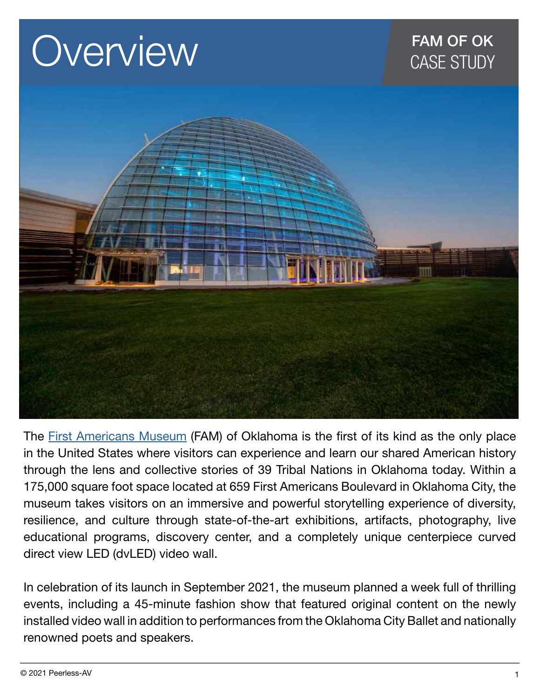# **OVerview CASE STUDY**



The [First Americans Museum](https://famok.org/) (FAM) of Oklahoma is the first of its kind as the only place in the United States where visitors can experience and learn our shared American history through the lens and collective stories of 39 Tribal Nations in Oklahoma today. Within a 175,000 square foot space located at 659 First Americans Boulevard in Oklahoma City, the museum takes visitors on an immersive and powerful storytelling experience of diversity, resilience, and culture through state-of-the-art exhibitions, artifacts, photography, live educational programs, discovery center, and a completely unique centerpiece curved direct view LED (dvLED) video wall.

In celebration of its launch in September 2021, the museum planned a week full of thrilling events, including a 45-minute fashion show that featured original content on the newly installed video wall in addition to performances from the Oklahoma City Ballet and nationally renowned poets and speakers.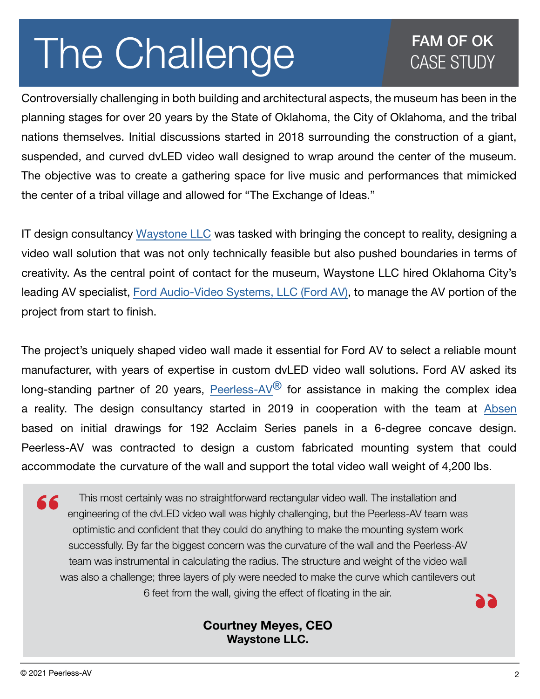# The Challenge **CASE STUDY**

Controversially challenging in both building and architectural aspects, the museum has been in the planning stages for over 20 years by the State of Oklahoma, the City of Oklahoma, and the tribal nations themselves. Initial discussions started in 2018 surrounding the construction of a giant, suspended, and curved dvLED video wall designed to wrap around the center of the museum. The objective was to create a gathering space for live music and performances that mimicked the center of a tribal village and allowed for "The Exchange of Ideas."

IT design consultancy [Waystone LLC](https://www.waystone.io/) was tasked with bringing the concept to reality, designing a video wall solution that was not only technically feasible but also pushed boundaries in terms of creativity. As the central point of contact for the museum, Waystone LLC hired Oklahoma City's leading AV specialist, [Ford Audio-Video Systems, LLC \(Ford AV\),](https://www.fordav.com/) to manage the AV portion of the project from start to finish.

The project's uniquely shaped video wall made it essential for Ford AV to select a reliable mount manufacturer, with years of expertise in custom dvLED video wall solutions. Ford AV asked its long-standing partner of 20 years, Peerless-AV $^{\circledR}$  for assistance in making the complex idea a reality. The design consultancy started in 2019 in cooperation with the team at [Absen](https://www.usabsen.com/) based on initial drawings for 192 Acclaim Series panels in a 6-degree concave design. Peerless-AV was contracted to design a custom fabricated mounting system that could accommodate the curvature of the wall and support the total video wall weight of 4,200 lbs.

This most certainly was no straightforward rectangular video wall. The installation and 66 engineering of the dvLED video wall was highly challenging, but the Peerless-AV team was optimistic and confident that they could do anything to make the mounting system work successfully. By far the biggest concern was the curvature of the wall and the Peerless-AV team was instrumental in calculating the radius. The structure and weight of the video wall was also a challenge; three layers of ply were needed to make the curve which cantilevers out 6 feet from the wall, giving the effect of floating in the air.

#### Courtney Meyes, CEO Waystone LLC.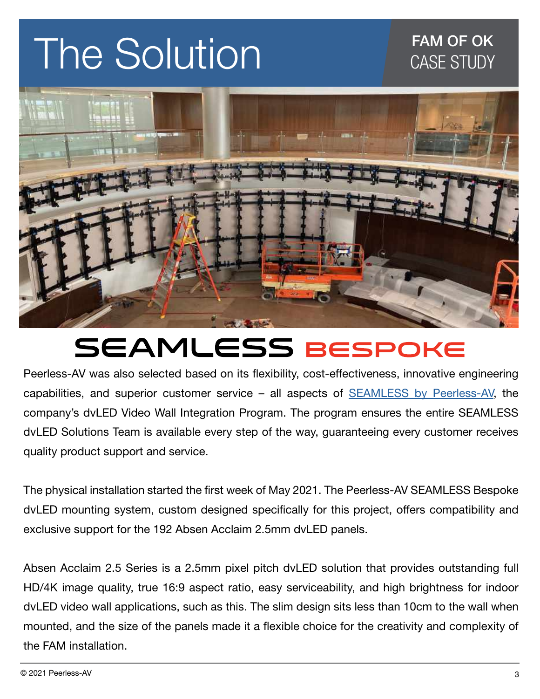# The Solution The Solution



# **SEAMLESS BESPOKE**

Peerless-AV was also selected based on its flexibility, cost-effectiveness, innovative engineering capabilities, and superior customer service - all aspects of **SEAMLESS** by Peerless-AV, the company's dvLED Video Wall Integration Program. The program ensures the entire SEAMLESS dvLED Solutions Team is available every step of the way, guaranteeing every customer receives quality product support and service.

The physical installation started the first week of May 2021. The Peerless-AV SEAMLESS Bespoke dvLED mounting system, custom designed specifically for this project, offers compatibility and exclusive support for the 192 Absen Acclaim 2.5mm dvLED panels.

Absen Acclaim 2.5 Series is a 2.5mm pixel pitch dvLED solution that provides outstanding full HD/4K image quality, true 16:9 aspect ratio, easy serviceability, and high brightness for indoor dvLED video wall applications, such as this. The slim design sits less than 10cm to the wall when mounted, and the size of the panels made it a flexible choice for the creativity and complexity of the FAM installation.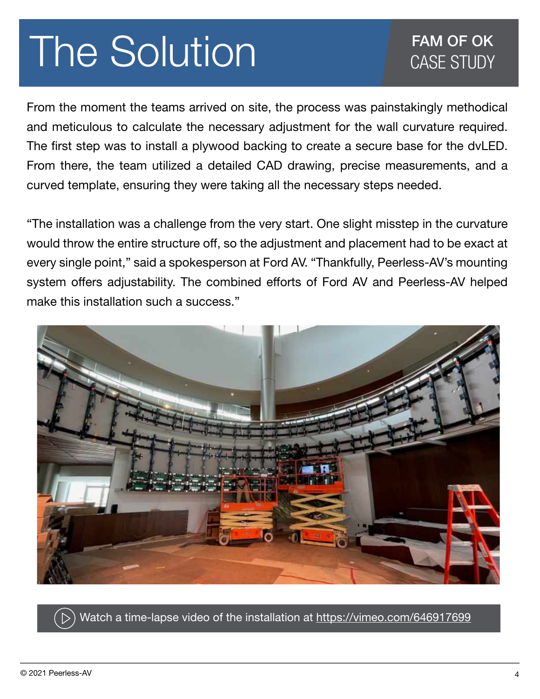# The Solution FAM OF OK

From the moment the teams arrived on site, the process was painstakingly methodical and meticulous to calculate the necessary adjustment for the wall curvature required. The first step was to install a plywood backing to create a secure base for the dvLED. From there, the team utilized a detailed CAD drawing, precise measurements, and a curved template, ensuring they were taking all the necessary steps needed.

"The installation was a challenge from the very start. One slight misstep in the curvature would throw the entire structure off, so the adjustment and placement had to be exact at every single point," said a spokesperson at Ford AV. "Thankfully, Peerless-AV's mounting system offers adjustability. The combined efforts of Ford AV and Peerless-AV helped make this installation such a success."



Watch a time-lapse video of the installation at <https://vimeo.com/646917699>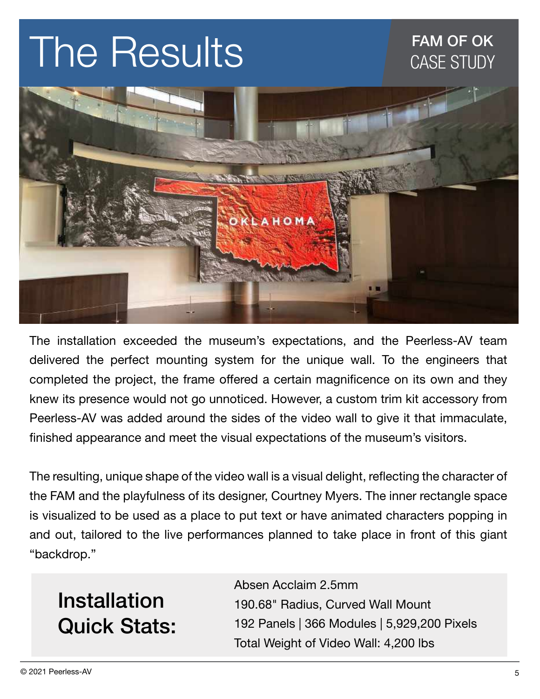# The Results

## FAM OF OK CASE STUDY



The installation exceeded the museum's expectations, and the Peerless-AV team delivered the perfect mounting system for the unique wall. To the engineers that completed the project, the frame offered a certain magnificence on its own and they knew its presence would not go unnoticed. However, a custom trim kit accessory from Peerless-AV was added around the sides of the video wall to give it that immaculate, finished appearance and meet the visual expectations of the museum's visitors.

The resulting, unique shape of the video wall is a visual delight, reflecting the character of the FAM and the playfulness of its designer, Courtney Myers. The inner rectangle space is visualized to be used as a place to put text or have animated characters popping in and out, tailored to the live performances planned to take place in front of this giant "backdrop."

# Installation Quick Stats:

Absen Acclaim 2.5mm 190.68" Radius, Curved Wall Mount 192 Panels | 366 Modules | 5,929,200 Pixels Total Weight of Video Wall: 4,200 lbs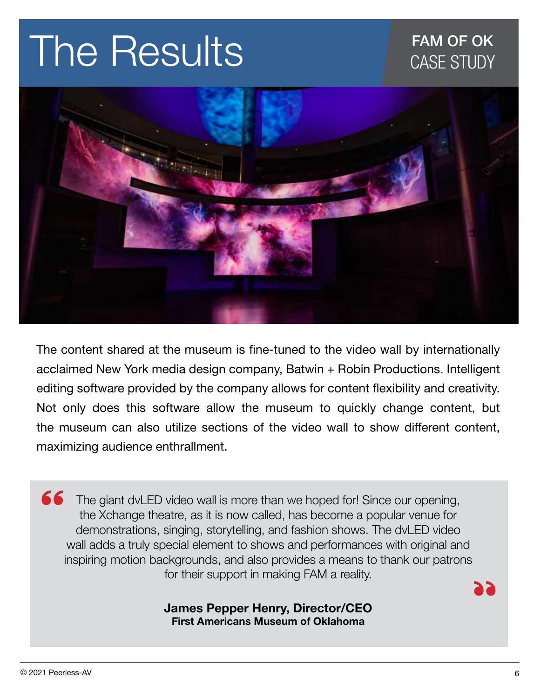# The Results

## FAM OF OK CASE STUDY



The content shared at the museum is fine-tuned to the video wall by internationally acclaimed New York media design company, Batwin + Robin Productions. Intelligent editing software provided by the company allows for content flexibility and creativity. Not only does this software allow the museum to quickly change content, but the museum can also utilize sections of the video wall to show different content, maximizing audience enthrallment.

66 The giant dvLED video wall is more than we hoped for! Since our opening, the Xchange theatre, as it is now called, has become a popular venue for demonstrations, singing, storytelling, and fashion shows. The dvLED video wall adds a truly special element to shows and performances with original and inspiring motion backgrounds, and also provides a means to thank our patrons for their support in making FAM a reality.

#### James Pepper Henry, Director/CEO First Americans Museum of Oklahoma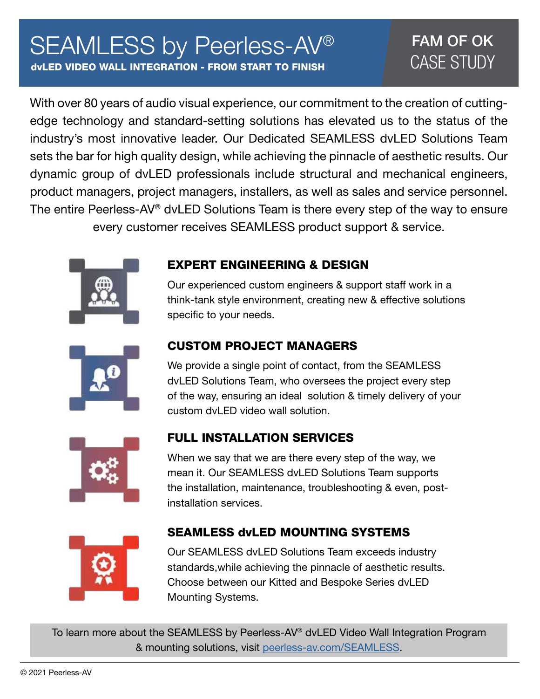# SEAMLESS by Peerless-AV®

dvLED VIDEO WALL INTEGRATION - FROM START TO FINISH

## FAM OF OK CASE STUDY

With over 80 years of audio visual experience, our commitment to the creation of cuttingedge technology and standard-setting solutions has elevated us to the status of the industry's most innovative leader. Our Dedicated SEAMLESS dvLED Solutions Team sets the bar for high quality design, while achieving the pinnacle of aesthetic results. Our dynamic group of dvLED professionals include structural and mechanical engineers, product managers, project managers, installers, as well as sales and service personnel. The entire Peerless-AV® dvLED Solutions Team is there every step of the way to ensure every customer receives SEAMLESS product support & service.



#### EXPERT ENGINEERING & DESIGN

Our experienced custom engineers & support staff work in a think-tank style environment, creating new & effective solutions specific to your needs.



#### CUSTOM PROJECT MANAGERS

We provide a single point of contact, from the SEAMLESS dvLED Solutions Team, who oversees the project every step of the way, ensuring an ideal solution & timely delivery of your custom dvLED video wall solution.



#### FULL INSTALLATION SERVICES

When we say that we are there every step of the way, we mean it. Our SEAMLESS dvLED Solutions Team supports the installation, maintenance, troubleshooting & even, postinstallation services.



#### SEAMLESS dvLED MOUNTING SYSTEMS

Our SEAMLESS dvLED Solutions Team exceeds industry standards,while achieving the pinnacle of aesthetic results. Choose between our Kitted and Bespoke Series dvLED Mounting Systems.

To learn more about the SEAMLESS by Peerless-AV® dvLED Video Wall Integration Program & mounting solutions, visit [peerless-av.com/SEAMLESS](http://peerless-av.com/SEAMLESS).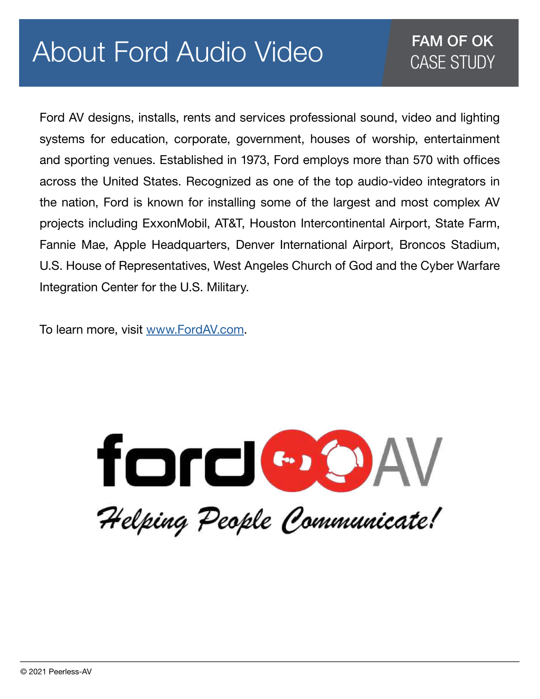# About Ford Audio Video

### FAM OF OK CASE STUDY

Ford AV designs, installs, rents and services professional sound, video and lighting systems for education, corporate, government, houses of worship, entertainment and sporting venues. Established in 1973, Ford employs more than 570 with offices across the United States. Recognized as one of the top audio-video integrators in the nation, Ford is known for installing some of the largest and most complex AV projects including ExxonMobil, AT&T, Houston Intercontinental Airport, State Farm, Fannie Mae, Apple Headquarters, Denver International Airport, Broncos Stadium, U.S. House of Representatives, West Angeles Church of God and the Cyber Warfare Integration Center for the U.S. Military.

To learn more, visit [www.FordAV.com.](http://www.FordAV.com)

ford GOAV

Helping People Communicate!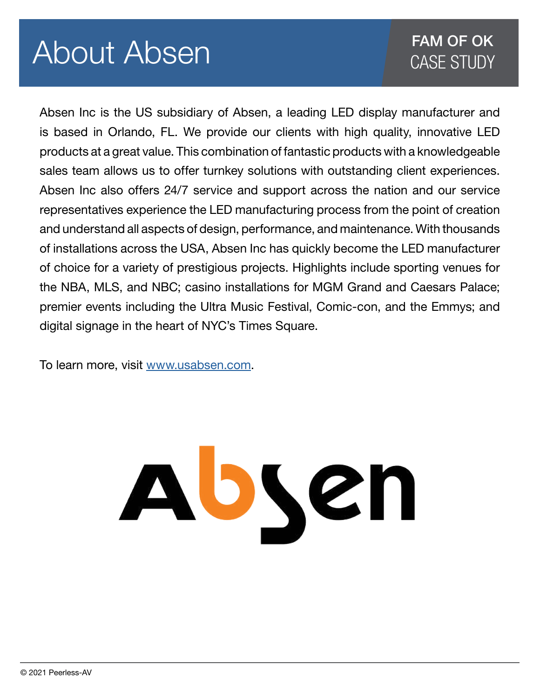# About Absen

## FAM OF OK CASE STUDY

Absen Inc is the US subsidiary of Absen, a leading LED display manufacturer and is based in Orlando, FL. We provide our clients with high quality, innovative LED products at a great value. This combination of fantastic products with a knowledgeable sales team allows us to offer turnkey solutions with outstanding client experiences. Absen Inc also offers 24/7 service and support across the nation and our service representatives experience the LED manufacturing process from the point of creation and understand all aspects of design, performance, and maintenance. With thousands of installations across the USA, Absen Inc has quickly become the LED manufacturer of choice for a variety of prestigious projects. Highlights include sporting venues for the NBA, MLS, and NBC; casino installations for MGM Grand and Caesars Palace; premier events including the Ultra Music Festival, Comic-con, and the Emmys; and digital signage in the heart of NYC's Times Square.

To learn more, visit [www.usabsen.com.](http://www.usabsen.com)

# Absen